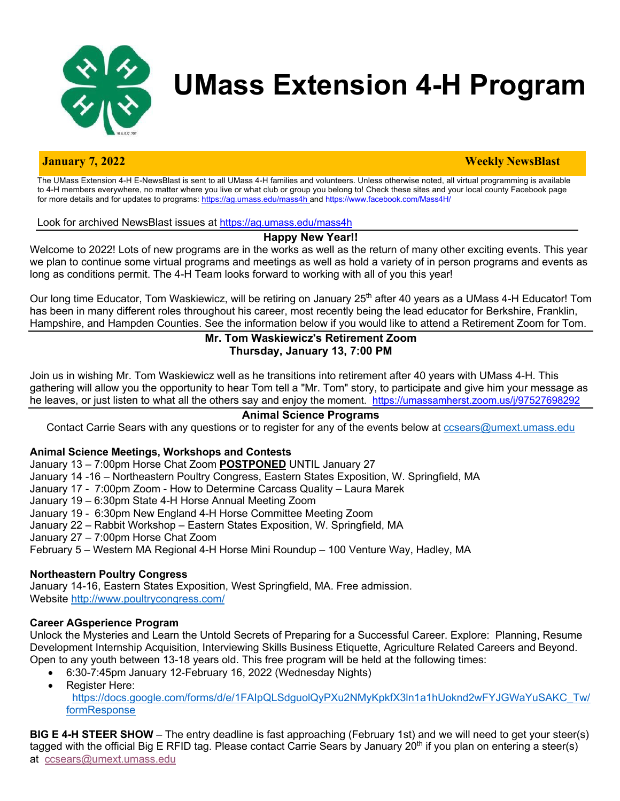

# **UMass Extension 4-H Program**

#### **January 7, 2022 Weekly NewsBlast**

The UMass Extension 4-H E-NewsBlast is sent to all UMass 4-H families and volunteers. Unless otherwise noted, all virtual programming is available to 4-H members everywhere, no matter where you live or what club or group you belong to! Check these sites and your local county Facebook page for more details and for updates to programs: https://ag.umass.edu/mass4h and https://www.facebook.com/Mass4H/

Look for archived NewsBlast issues at https://ag.umass.edu/mass4h

# **Happy New Year!!**

Welcome to 2022! Lots of new programs are in the works as well as the return of many other exciting events. This year we plan to continue some virtual programs and meetings as well as hold a variety of in person programs and events as long as conditions permit. The 4-H Team looks forward to working with all of you this year!

Our long time Educator, Tom Waskiewicz, will be retiring on January 25<sup>th</sup> after 40 years as a UMass 4-H Educator! Tom has been in many different roles throughout his career, most recently being the lead educator for Berkshire, Franklin, Hampshire, and Hampden Counties. See the information below if you would like to attend a Retirement Zoom for Tom.

# **Mr. Tom Waskiewicz's Retirement Zoom Thursday, January 13, 7:00 PM**

Join us in wishing Mr. Tom Waskiewicz well as he transitions into retirement after 40 years with UMass 4-H. This gathering will allow you the opportunity to hear Tom tell a "Mr. Tom" story, to participate and give him your message as he leaves, or just listen to what all the others say and enjoy the moment. https://umassamherst.zoom.us/j/97527698292

# **Animal Science Programs**

Contact Carrie Sears with any questions or to register for any of the events below at cosears@umext.umass.edu

#### **Animal Science Meetings, Workshops and Contests**

January 13 – 7:00pm Horse Chat Zoom **POSTPONED** UNTIL January 27

- January 14 -16 Northeastern Poultry Congress, Eastern States Exposition, W. Springfield, MA
- January 17 7:00pm Zoom How to Determine Carcass Quality Laura Marek
- January 19 6:30pm State 4-H Horse Annual Meeting Zoom
- January 19 6:30pm New England 4-H Horse Committee Meeting Zoom
- January 22 Rabbit Workshop Eastern States Exposition, W. Springfield, MA
- January 27 7:00pm Horse Chat Zoom
- February 5 Western MA Regional 4-H Horse Mini Roundup 100 Venture Way, Hadley, MA

#### **Northeastern Poultry Congress**

January 14-16, Eastern States Exposition, West Springfield, MA. Free admission. Website http://www.poultrycongress.com/

# **Career AGsperience Program**

Unlock the Mysteries and Learn the Untold Secrets of Preparing for a Successful Career. Explore: Planning, Resume Development Internship Acquisition, Interviewing Skills Business Etiquette, Agriculture Related Careers and Beyond. Open to any youth between 13-18 years old. This free program will be held at the following times:

- 6:30-7:45pm January 12-February 16, 2022 (Wednesday Nights)
- Register Here:
	- https://docs.google.com/forms/d/e/1FAIpQLSdguolQyPXu2NMyKpkfX3ln1a1hUoknd2wFYJGWaYuSAKC\_Tw/ formResponse

**BIG E 4-H STEER SHOW** – The entry deadline is fast approaching (February 1st) and we will need to get your steer(s) tagged with the official Big E RFID tag. Please contact Carrie Sears by January 20<sup>th</sup> if you plan on entering a steer(s) at ccsears@umext.umass.edu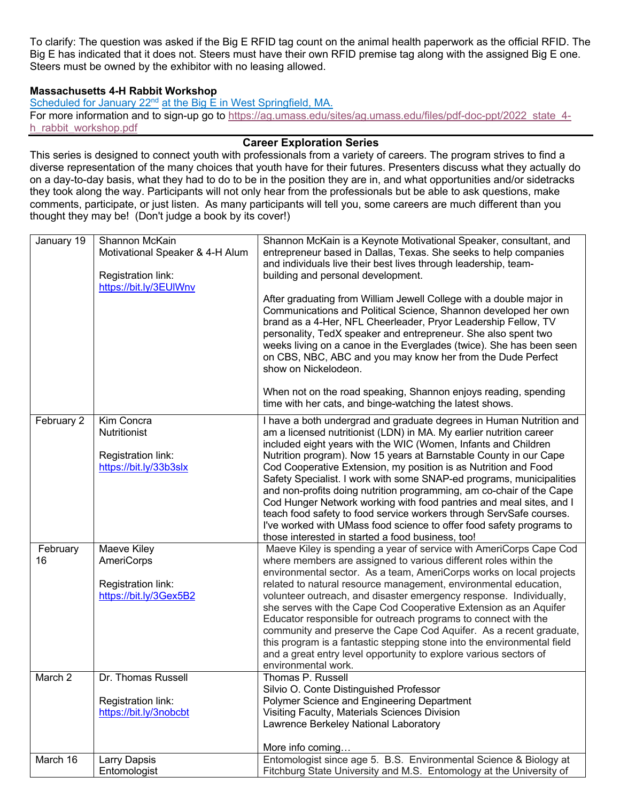To clarify: The question was asked if the Big E RFID tag count on the animal health paperwork as the official RFID. The Big E has indicated that it does not. Steers must have their own RFID premise tag along with the assigned Big E one. Steers must be owned by the exhibitor with no leasing allowed.

#### **Massachusetts 4-H Rabbit Workshop**

Scheduled for January 22<sup>nd</sup> at the Big E in West Springfield, MA. For more information and to sign-up go to https://ag.umass.edu/sites/ag.umass.edu/files/pdf-doc-ppt/2022\_state\_4h\_rabbit\_workshop.pdf

#### **Career Exploration Series**

This series is designed to connect youth with professionals from a variety of careers. The program strives to find a diverse representation of the many choices that youth have for their futures. Presenters discuss what they actually do on a day-to-day basis, what they had to do to be in the position they are in, and what opportunities and/or sidetracks they took along the way. Participants will not only hear from the professionals but be able to ask questions, make comments, participate, or just listen. As many participants will tell you, some careers are much different than you thought they may be! (Don't judge a book by its cover!)

| January 19     | Shannon McKain<br>Motivational Speaker & 4-H Alum<br>Registration link:<br>https://bit.ly/3EUIWnv | Shannon McKain is a Keynote Motivational Speaker, consultant, and<br>entrepreneur based in Dallas, Texas. She seeks to help companies<br>and individuals live their best lives through leadership, team-<br>building and personal development.<br>After graduating from William Jewell College with a double major in<br>Communications and Political Science, Shannon developed her own<br>brand as a 4-Her, NFL Cheerleader, Pryor Leadership Fellow, TV<br>personality, TedX speaker and entrepreneur. She also spent two<br>weeks living on a canoe in the Everglades (twice). She has been seen<br>on CBS, NBC, ABC and you may know her from the Dude Perfect<br>show on Nickelodeon.<br>When not on the road speaking, Shannon enjoys reading, spending |
|----------------|---------------------------------------------------------------------------------------------------|----------------------------------------------------------------------------------------------------------------------------------------------------------------------------------------------------------------------------------------------------------------------------------------------------------------------------------------------------------------------------------------------------------------------------------------------------------------------------------------------------------------------------------------------------------------------------------------------------------------------------------------------------------------------------------------------------------------------------------------------------------------|
| February 2     | Kim Concra<br>Nutritionist                                                                        | time with her cats, and binge-watching the latest shows.<br>I have a both undergrad and graduate degrees in Human Nutrition and<br>am a licensed nutritionist (LDN) in MA. My earlier nutrition career                                                                                                                                                                                                                                                                                                                                                                                                                                                                                                                                                         |
|                | Registration link:<br>https://bit.ly/33b3slx                                                      | included eight years with the WIC (Women, Infants and Children<br>Nutrition program). Now 15 years at Barnstable County in our Cape<br>Cod Cooperative Extension, my position is as Nutrition and Food<br>Safety Specialist. I work with some SNAP-ed programs, municipalities<br>and non-profits doing nutrition programming, am co-chair of the Cape<br>Cod Hunger Network working with food pantries and meal sites, and I<br>teach food safety to food service workers through ServSafe courses.<br>I've worked with UMass food science to offer food safety programs to<br>those interested in started a food business, too!                                                                                                                              |
| February<br>16 | Maeve Kiley<br>AmeriCorps                                                                         | Maeve Kiley is spending a year of service with AmeriCorps Cape Cod<br>where members are assigned to various different roles within the                                                                                                                                                                                                                                                                                                                                                                                                                                                                                                                                                                                                                         |
|                | Registration link:<br>https://bit.ly/3Gex5B2                                                      | environmental sector. As a team, AmeriCorps works on local projects<br>related to natural resource management, environmental education,<br>volunteer outreach, and disaster emergency response. Individually,<br>she serves with the Cape Cod Cooperative Extension as an Aquifer<br>Educator responsible for outreach programs to connect with the<br>community and preserve the Cape Cod Aquifer. As a recent graduate,<br>this program is a fantastic stepping stone into the environmental field<br>and a great entry level opportunity to explore various sectors of<br>environmental work.                                                                                                                                                               |
| March 2        | Dr. Thomas Russell<br>Registration link:<br>https://bit.ly/3nobcbt                                | Thomas P. Russell<br>Silvio O. Conte Distinguished Professor<br>Polymer Science and Engineering Department<br>Visiting Faculty, Materials Sciences Division<br>Lawrence Berkeley National Laboratory                                                                                                                                                                                                                                                                                                                                                                                                                                                                                                                                                           |
|                |                                                                                                   | More info coming                                                                                                                                                                                                                                                                                                                                                                                                                                                                                                                                                                                                                                                                                                                                               |
| March 16       | Larry Dapsis<br>Entomologist                                                                      | Entomologist since age 5. B.S. Environmental Science & Biology at<br>Fitchburg State University and M.S. Entomology at the University of                                                                                                                                                                                                                                                                                                                                                                                                                                                                                                                                                                                                                       |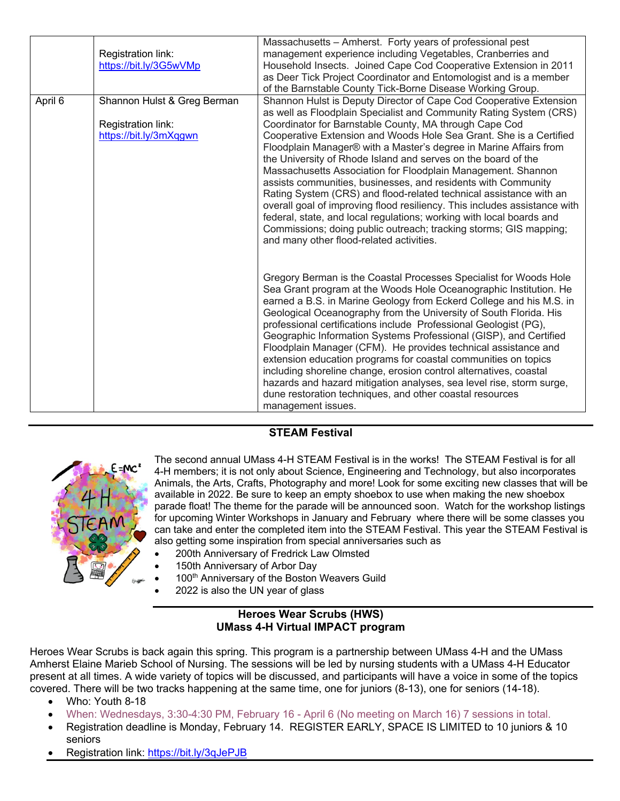|         | Registration link:<br>https://bit.ly/3G5wVMp                                | Massachusetts - Amherst. Forty years of professional pest<br>management experience including Vegetables, Cranberries and<br>Household Insects. Joined Cape Cod Cooperative Extension in 2011<br>as Deer Tick Project Coordinator and Entomologist and is a member<br>of the Barnstable County Tick-Borne Disease Working Group.                                                                                                                                                                                                                                                                                                                                                                                                                                                                                                                                                             |
|---------|-----------------------------------------------------------------------------|---------------------------------------------------------------------------------------------------------------------------------------------------------------------------------------------------------------------------------------------------------------------------------------------------------------------------------------------------------------------------------------------------------------------------------------------------------------------------------------------------------------------------------------------------------------------------------------------------------------------------------------------------------------------------------------------------------------------------------------------------------------------------------------------------------------------------------------------------------------------------------------------|
| April 6 | Shannon Hulst & Greg Berman<br>Registration link:<br>https://bit.ly/3mXqgwn | Shannon Hulst is Deputy Director of Cape Cod Cooperative Extension<br>as well as Floodplain Specialist and Community Rating System (CRS)<br>Coordinator for Barnstable County, MA through Cape Cod<br>Cooperative Extension and Woods Hole Sea Grant. She is a Certified<br>Floodplain Manager® with a Master's degree in Marine Affairs from<br>the University of Rhode Island and serves on the board of the<br>Massachusetts Association for Floodplain Management. Shannon<br>assists communities, businesses, and residents with Community<br>Rating System (CRS) and flood-related technical assistance with an<br>overall goal of improving flood resiliency. This includes assistance with<br>federal, state, and local regulations; working with local boards and<br>Commissions; doing public outreach; tracking storms; GIS mapping;<br>and many other flood-related activities. |
|         |                                                                             | Gregory Berman is the Coastal Processes Specialist for Woods Hole<br>Sea Grant program at the Woods Hole Oceanographic Institution. He<br>earned a B.S. in Marine Geology from Eckerd College and his M.S. in<br>Geological Oceanography from the University of South Florida. His<br>professional certifications include Professional Geologist (PG),<br>Geographic Information Systems Professional (GISP), and Certified<br>Floodplain Manager (CFM). He provides technical assistance and<br>extension education programs for coastal communities on topics<br>including shoreline change, erosion control alternatives, coastal<br>hazards and hazard mitigation analyses, sea level rise, storm surge,<br>dune restoration techniques, and other coastal resources<br>management issues.                                                                                              |

# **STEAM Festival**



The second annual UMass 4-H STEAM Festival is in the works! The STEAM Festival is for all 4-H members; it is not only about Science, Engineering and Technology, but also incorporates Animals, the Arts, Crafts, Photography and more! Look for some exciting new classes that will be available in 2022. Be sure to keep an empty shoebox to use when making the new shoebox parade float! The theme for the parade will be announced soon. Watch for the workshop listings for upcoming Winter Workshops in January and February where there will be some classes you can take and enter the completed item into the STEAM Festival. This year the STEAM Festival is also getting some inspiration from special anniversaries such as

- 200th Anniversary of Fredrick Law Olmsted
- 150th Anniversary of Arbor Day
- 100<sup>th</sup> Anniversary of the Boston Weavers Guild
- 2022 is also the UN year of glass

#### **Heroes Wear Scrubs (HWS) UMass 4-H Virtual IMPACT program**

Heroes Wear Scrubs is back again this spring. This program is a partnership between UMass 4-H and the UMass Amherst Elaine Marieb School of Nursing. The sessions will be led by nursing students with a UMass 4-H Educator present at all times. A wide variety of topics will be discussed, and participants will have a voice in some of the topics covered. There will be two tracks happening at the same time, one for juniors (8-13), one for seniors (14-18).

- Who: Youth 8-18
- When: Wednesdays, 3:30-4:30 PM, February 16 April 6 (No meeting on March 16) 7 sessions in total.
- Registration deadline is Monday, February 14. REGISTER EARLY, SPACE IS LIMITED to 10 juniors & 10 seniors
- Registration link: https://bit.ly/3qJePJB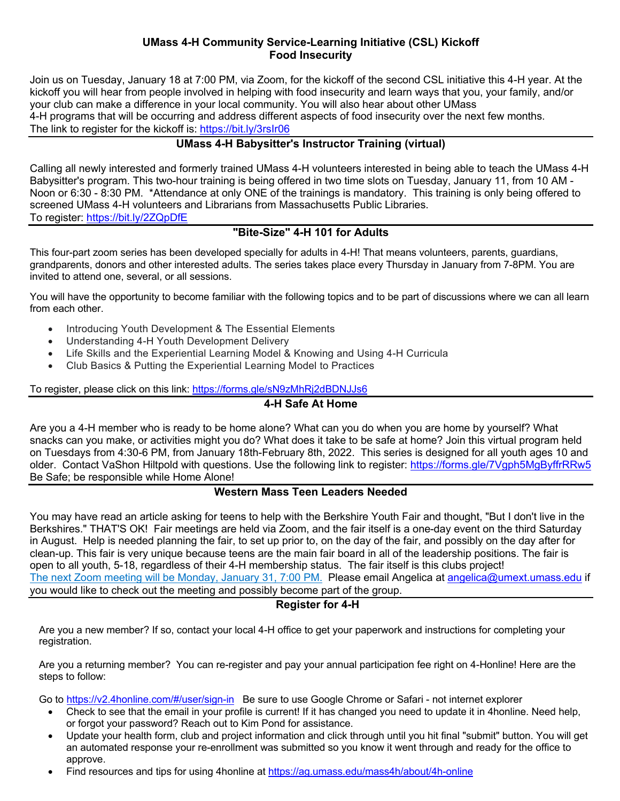### **UMass 4-H Community Service-Learning Initiative (CSL) Kickoff Food Insecurity**

Join us on Tuesday, January 18 at 7:00 PM, via Zoom, for the kickoff of the second CSL initiative this 4-H year. At the kickoff you will hear from people involved in helping with food insecurity and learn ways that you, your family, and/or your club can make a difference in your local community. You will also hear about other UMass 4-H programs that will be occurring and address different aspects of food insecurity over the next few months. The link to register for the kickoff is: https://bit.ly/3rsIr06

# **UMass 4-H Babysitter's Instructor Training (virtual)**

Calling all newly interested and formerly trained UMass 4-H volunteers interested in being able to teach the UMass 4-H Babysitter's program. This two-hour training is being offered in two time slots on Tuesday, January 11, from 10 AM - Noon or 6:30 - 8:30 PM. \*Attendance at only ONE of the trainings is mandatory. This training is only being offered to screened UMass 4-H volunteers and Librarians from Massachusetts Public Libraries. To register: https://bit.ly/2ZQpDfE

# **"Bite-Size" 4-H 101 for Adults**

This four-part zoom series has been developed specially for adults in 4-H! That means volunteers, parents, guardians, grandparents, donors and other interested adults. The series takes place every Thursday in January from 7-8PM. You are invited to attend one, several, or all sessions.

You will have the opportunity to become familiar with the following topics and to be part of discussions where we can all learn from each other.

- Introducing Youth Development & The Essential Elements
- Understanding 4-H Youth Development Delivery
- Life Skills and the Experiential Learning Model & Knowing and Using 4-H Curricula
- Club Basics & Putting the Experiential Learning Model to Practices

To register, please click on this link: https://forms.gle/sN9zMhRj2dBDNJJs6

#### **4-H Safe At Home**

Are you a 4-H member who is ready to be home alone? What can you do when you are home by yourself? What snacks can you make, or activities might you do? What does it take to be safe at home? Join this virtual program held on Tuesdays from 4:30-6 PM, from January 18th-February 8th, 2022. This series is designed for all youth ages 10 and older. Contact VaShon Hiltpold with questions. Use the following link to register: https://forms.gle/7Vgph5MgByffrRRw5 Be Safe; be responsible while Home Alone!

# **Western Mass Teen Leaders Needed**

You may have read an article asking for teens to help with the Berkshire Youth Fair and thought, "But I don't live in the Berkshires." THAT'S OK! Fair meetings are held via Zoom, and the fair itself is a one-day event on the third Saturday in August. Help is needed planning the fair, to set up prior to, on the day of the fair, and possibly on the day after for clean-up. This fair is very unique because teens are the main fair board in all of the leadership positions. The fair is open to all youth, 5-18, regardless of their 4-H membership status. The fair itself is this clubs project! The next Zoom meeting will be Monday, January 31, 7:00 PM. Please email Angelica at angelica@umext.umass.edu if you would like to check out the meeting and possibly become part of the group.

#### **Register for 4-H**

Are you a new member? If so, contact your local 4-H office to get your paperwork and instructions for completing your registration.

Are you a returning member? You can re-register and pay your annual participation fee right on 4-Honline! Here are the steps to follow:

Go to https://v2.4honline.com/#/user/sign-in Be sure to use Google Chrome or Safari - not internet explorer

- Check to see that the email in your profile is current! If it has changed you need to update it in 4honline. Need help, or forgot your password? Reach out to Kim Pond for assistance.
- Update your health form, club and project information and click through until you hit final "submit" button. You will get an automated response your re-enrollment was submitted so you know it went through and ready for the office to approve.
- Find resources and tips for using 4honline at https://ag.umass.edu/mass4h/about/4h-online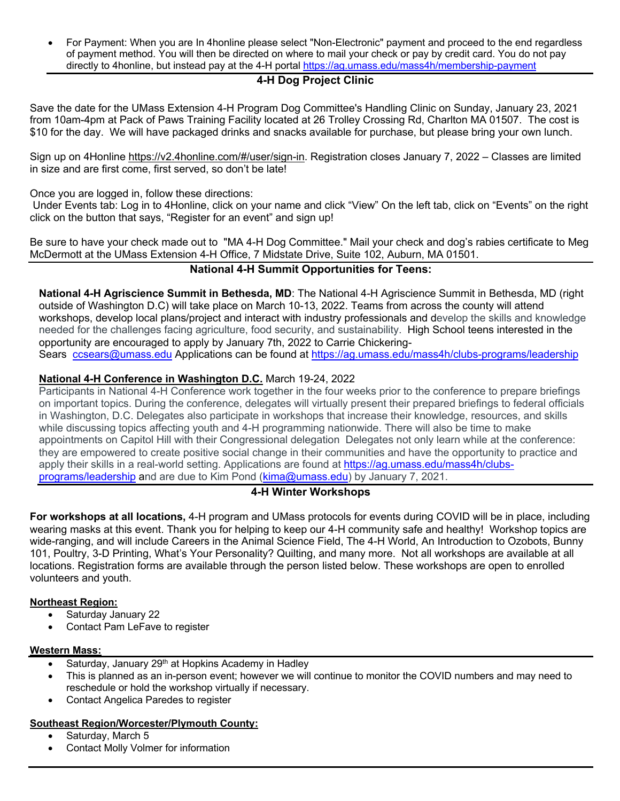• For Payment: When you are In 4honline please select "Non-Electronic" payment and proceed to the end regardless of payment method. You will then be directed on where to mail your check or pay by credit card. You do not pay directly to 4honline, but instead pay at the 4-H portal https://ag.umass.edu/mass4h/membership-payment

# **4-H Dog Project Clinic**

Save the date for the UMass Extension 4-H Program Dog Committee's Handling Clinic on Sunday, January 23, 2021 from 10am-4pm at Pack of Paws Training Facility located at 26 Trolley Crossing Rd, Charlton MA 01507. The cost is \$10 for the day. We will have packaged drinks and snacks available for purchase, but please bring your own lunch.

Sign up on 4Honline https://v2.4honline.com/#/user/sign-in. Registration closes January 7, 2022 – Classes are limited in size and are first come, first served, so don't be late!

Once you are logged in, follow these directions:

Under Events tab: Log in to 4Honline, click on your name and click "View" On the left tab, click on "Events" on the right click on the button that says, "Register for an event" and sign up!

Be sure to have your check made out to "MA 4-H Dog Committee." Mail your check and dog's rabies certificate to Meg McDermott at the UMass Extension 4-H Office, 7 Midstate Drive, Suite 102, Auburn, MA 01501.

# **National 4-H Summit Opportunities for Teens:**

**National 4-H Agriscience Summit in Bethesda, MD**: The National 4-H Agriscience Summit in Bethesda, MD (right outside of Washington D.C) will take place on March 10-13, 2022. Teams from across the county will attend workshops, develop local plans/project and interact with industry professionals and develop the skills and knowledge needed for the challenges facing agriculture, food security, and sustainability. High School teens interested in the opportunity are encouraged to apply by January 7th, 2022 to Carrie Chickering-

Sears ccsears@umass.edu Applications can be found at https://ag.umass.edu/mass4h/clubs-programs/leadership

# **National 4-H Conference in Washington D.C.** March 19-24, 2022

Participants in National 4-H Conference work together in the four weeks prior to the conference to prepare briefings on important topics. During the conference, delegates will virtually present their prepared briefings to federal officials in Washington, D.C. Delegates also participate in workshops that increase their knowledge, resources, and skills while discussing topics affecting youth and 4-H programming nationwide. There will also be time to make appointments on Capitol Hill with their Congressional delegation Delegates not only learn while at the conference: they are empowered to create positive social change in their communities and have the opportunity to practice and apply their skills in a real-world setting. Applications are found at https://ag.umass.edu/mass4h/clubsprograms/leadership and are due to Kim Pond (kima@umass.edu) by January 7, 2021.

# **4-H Winter Workshops**

**For workshops at all locations,** 4-H program and UMass protocols for events during COVID will be in place, including wearing masks at this event. Thank you for helping to keep our 4-H community safe and healthy! Workshop topics are wide-ranging, and will include Careers in the Animal Science Field, The 4-H World, An Introduction to Ozobots, Bunny 101, Poultry, 3-D Printing, What's Your Personality? Quilting, and many more. Not all workshops are available at all locations. Registration forms are available through the person listed below. These workshops are open to enrolled volunteers and youth.

#### **Northeast Region:**

- Saturday January 22
- Contact Pam LeFave to register

#### **Western Mass:**

- Saturday, January 29<sup>th</sup> at Hopkins Academy in Hadley
- This is planned as an in-person event; however we will continue to monitor the COVID numbers and may need to reschedule or hold the workshop virtually if necessary.
- Contact Angelica Paredes to register

# **Southeast Region/Worcester/Plymouth County:**

- Saturday, March 5
- Contact Molly Volmer for information